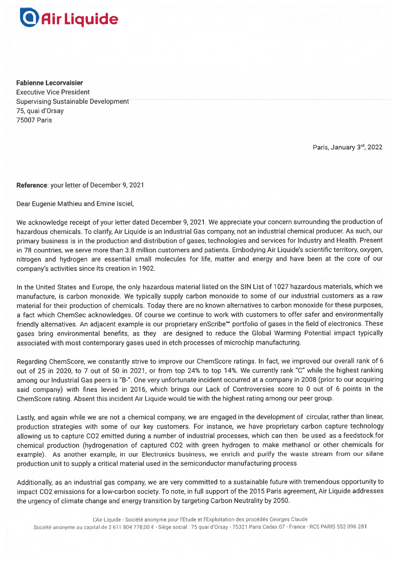## **Air Liquide**

**Fabienne Lecorvaisier Executive Vice President Supervising Sustainable Development** 75, quai d'Orsay **75007 Paris** 

Paris, January 3rd, 2022

Reference: your letter of December 9, 2021

Dear Eugenie Mathieu and Emine Isciel.

We acknowledge receipt of your letter dated December 9, 2021. We appreciate your concern surrounding the production of hazardous chemicals. To clarify, Air Liquide is an Industrial Gas company, not an industrial chemical producer. As such, our primary business is in the production and distribution of gases, technologies and services for Industry and Health. Present in 78 countries, we serve more than 3.8 million customers and patients. Embodying Air Liquide's scientific territory, oxygen, nitrogen and hydrogen are essential small molecules for life, matter and energy and have been at the core of our company's activities since its creation in 1902.

In the United States and Europe, the only hazardous material listed on the SIN List of 1027 hazardous materials, which we manufacture, is carbon monoxide. We typically supply carbon monoxide to some of our industrial customers as a raw material for their production of chemicals. Today there are no known alternatives to carbon monoxide for these purposes, a fact which ChemSec acknowledges. Of course we continue to work with customers to offer safer and environmentally friendly alternatives. An adjacent example is our proprietary enScribe™ portfolio of gases in the field of electronics. These gases bring environmental benefits, as they are designed to reduce the Global Warming Potential impact typically associated with most contemporary gases used in etch processes of microchip manufacturing.

Regarding ChemScore, we constantly strive to improve our ChemScore ratings. In fact, we improved our overall rank of 6 out of 25 in 2020, to 7 out of 50 in 2021, or from top 24% to top 14%. We currently rank "C" while the highest ranking among our Industrial Gas peers is "B-". One very unfortunate incident occurred at a company in 2008 (prior to our acquiring said company) with fines levied in 2016, which brings our Lack of Controversies score to 0 out of 6 points in the ChemScore rating. Absent this incident Air Liquide would tie with the highest rating among our peer group.

Lastly, and again while we are not a chemical company, we are engaged in the development of circular, rather than linear, production strategies with some of our key customers. For instance, we have proprietary carbon capture technology allowing us to capture CO2 emitted during a number of industrial processes, which can then be used as a feedstock for chemical production (hydrogenation of captured CO2 with green hydrogen to make methanol or other chemicals for example). As another example, in our Electronics business, we enrich and purify the waste stream from our silane production unit to supply a critical material used in the semiconductor manufacturing process

Additionally, as an industrial gas company, we are very committed to a sustainable future with tremendous opportunity to impact CO2 emissions for a low-carbon society. To note, in full support of the 2015 Paris agreement, Air Liquide addresses the urgency of climate change and energy transition by targeting Carbon Neutrality by 2050.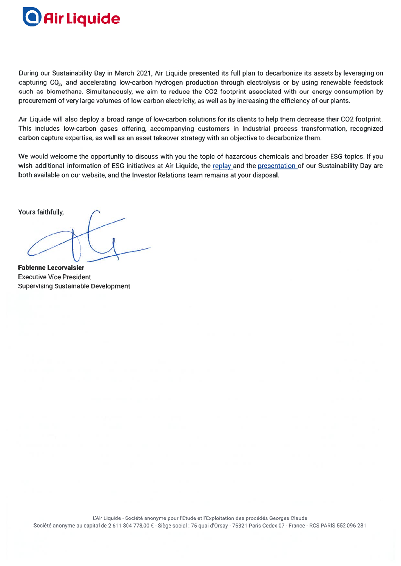# **Air Liquide**

During our Sustainability Day in March 2021, Air Liquide presented its full plan to decarbonize its assets by leveraging on capturing CO<sub>2</sub>, and accelerating low-carbon hydrogen production through electrolysis or by using renewable feedstock such as biomethane. Simultaneously, we aim to reduce the CO2 footprint associated with our energy consumption by procurement of very large volumes of low carbon electricity, as well as by increasing the efficiency of our plants.

Air Liquide will also deploy a broad range of low-carbon solutions for its clients to help them decrease their CO2 footprint. This includes low-carbon gases offering, accompanying customers in industrial process transformation, recognized carbon capture expertise, as well as an asset takeover strategy with an objective to decarbonize them.

We would welcome the opportunity to discuss with you the topic of hazardous chemicals and broader ESG topics. If you wish additional information of ESG initiatives at Air Liquide, the replay and the presentation of our Sustainability Day are both available on our website, and the Investor Relations team remains at your disposal.

Yours faithfully,

**Fabienne Lecorvaisier Executive Vice President Supervising Sustainable Development**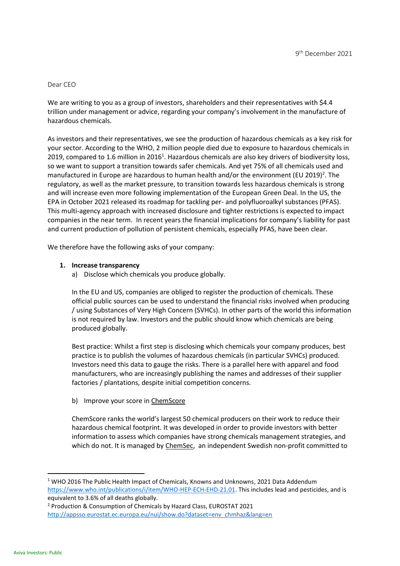#### Dear CEO

We are writing to you as a group of investors, shareholders and their representatives with \$4.4 trillion under management or advice, regarding your company's involvement in the manufacture of hazardous chemicals.

As investors and their representatives, we see the production of hazardous chemicals as a key risk for your sector. According to the WHO, 2 million people died due to exposure to hazardous chemicals in 2019, compared to 1.6 million in 2016<sup>1</sup>. Hazardous chemicals are also key drivers of biodiversity loss, so we want to support a transition towards safer chemicals. And yet 75% of all chemicals used and manufactured in Europe are hazardous to human health and/or the environment (EU 2019)<sup>2</sup>. The regulatory, as well as the market pressure, to transition towards less hazardous chemicals is strong and will increase even more following implementation of the European Green Deal. In the US, the EPA in October 2021 released its roadmap for tackling per- and polyfluoroalkyl substances (PFAS). This multi-agency approach with increased disclosure and tighter restrictions is expected to impact companies in the near term. In recent years the financial implications for company's liability for past and current production of pollution of persistent chemicals, especially PFAS, have been clear.

We therefore have the following asks of your company:

#### **1. Increase transparency**

a) Disclose which chemicals you produce globally.

In the EU and US, companies are obliged to register the production of chemicals. These official public sources can be used to understand the financial risks involved when producing / using Substances of Very High Concern (SVHCs). In other parts of the world this information is not required by law. Investors and the public should know which chemicals are being produced globally.

Best practice: Whilst a first step is disclosing which chemicals your company produces, best practice is to publish the volumes of hazardous chemicals (in particular SVHCs) produced. Investors need this data to gauge the risks. There is a parallel here with apparel and food manufacturers, who are increasingly publishing the names and addresses of their supplier factories / plantations, despite initial competition concerns.

b) Improve your score in [ChemScore](https://chemsec.org/business-tool/chemscore/)

ChemScore ranks the world's largest 50 chemical producers on their work to reduce their hazardous chemical footprint. It was developed in order to provide investors with better information to assess which companies have strong chemicals management strategies, and which do not. It is managed by [ChemSec,](https://clicktime.symantec.com/3Pu9xX4rqATziwyy6TMr9WM6H4?u=https%3A%2F%2Furldefense.com%2Fv3%2F__https%3A%2Feur02.safelinks.protection.outlook.com%2F%3Furl%3Dhttps%2A3A%2A2F%2A2Furldefense.com%2A2Fv3%2A2F__https%2A3A%2A2Fclicktime.symantec.com%2A2F3Mt6F2kZLjoxpbe9CWAgaTK6H2%2A3Fu%2A3Dhttps%2A3A%2A2F%2A2Furldefense.com%2A2Fv3%2A2F__https%2A3A%2A2Fchemsec.org%2A2F__%2A3B%2A21%2A21P1FkmjZfzDq-BA%2A217JeVYGNFgm2betlC3IiMqMJPOIyxptTbNZ4LfLF6wtAxkZ4OKPMI6uuRTuFoYVGZTdS6Qg%2A24__%2A3BJSUlJSUlJSUlJSUlJQ%21%21P1FkmjZfzDq-BA%216uAv1nlA_xSkHczG6IFyDcEQz5eqs5CPGiLT4TBVTWHwMNzzD-UoY4-9qiWjyele-ufm1w%2A24%26data%3D04%2A7C01%2A7Colga.hancock%2A40churchofengland.org%2A7C1a831a5a905b48c9ef8a08d9b976c8b4%2A7C95e2463b3ab047b49ac1587c77ee84f0%2A7C0%2A7C0%2A7C637744742439221373%2A7CUnknown%2A7CTWFpbGZsb3d8eyJWIjoiMC4wLjAwMDAiLCJQIjoiV2luMzIiLCJBTiI6Ik1haWwiLCJXVCI6Mn0%2A3D%2A7C3000%26sdata%3DS9iQhuYrPqcpF7%2A2B5JpuZATn422xGnPh8NIXFdRBH0Bk%2A3D%26reserved%3D0__%3BJSUlJSUlJSUlJSoqKioqKioqKioqKiolJSUlJSUlJSUlJSUlJSUl%21%21P1FkmjZfzDq-BA%21927M7h_bQzWrxOC-eaUOKD--FcFcfGzPUKG7BDdDbFa__7okIqhtncqcpIzRpjA37Q5nig%24) an independent Swedish non-profit committed to

<sup>&</sup>lt;sup>1</sup> WHO 2016 The Public Health Impact of Chemicals, Knowns and Unknowns, 2021 Data Addendum [https://www.who.int/publications/i/item/WHO-HEP-ECH-EHD-21.01.](https://www.who.int/publications/i/item/WHO-HEP-ECH-EHD-21.01) This includes lead and pesticides, and is equivalent to 3.6% of all deaths globally.

<sup>2</sup> Production & Consumption of Chemicals by Hazard Class, EUROSTAT 2021 [http://appsso.eurostat.ec.europa.eu/nui/show.do?dataset=env\\_chmhaz&lang=en](http://appsso.eurostat.ec.europa.eu/nui/show.do?dataset=env_chmhaz&lang=en)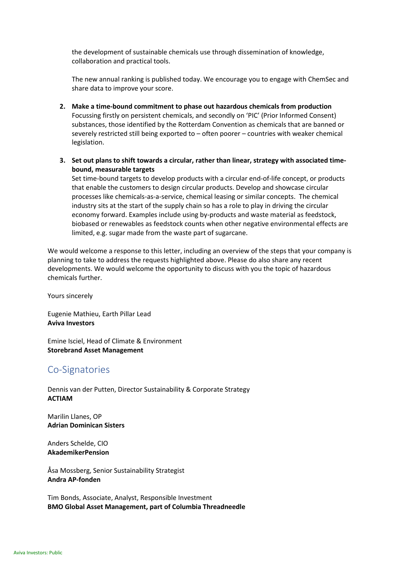the development of sustainable chemicals use through dissemination of knowledge, collaboration and practical tools.

The new annual ranking is published today. We encourage you to engage with ChemSec and share data to improve your score.

- **2. Make a time-bound commitment to phase out hazardous chemicals from production** Focussing firstly on persistent chemicals, and secondly on 'PIC' (Prior Informed Consent) substances, those identified by the Rotterdam Convention as chemicals that are banned or severely restricted still being exported to – often poorer – countries with weaker chemical legislation.
- **3. Set out plans to shift towards a circular, rather than linear, strategy with associated timebound, measurable targets**

Set time-bound targets to develop products with a circular end-of-life concept, or products that enable the customers to design circular products. Develop and showcase circular processes like chemicals-as-a-service, chemical leasing or similar concepts. The chemical industry sits at the start of the supply chain so has a role to play in driving the circular economy forward. Examples include using by-products and waste material as feedstock, biobased or renewables as feedstock counts when other negative environmental effects are limited, e.g. sugar made from the waste part of sugarcane.

We would welcome a response to this letter, including an overview of the steps that your company is planning to take to address the requests highlighted above. Please do also share any recent developments. We would welcome the opportunity to discuss with you the topic of hazardous chemicals further.

Yours sincerely

Eugenie Mathieu, Earth Pillar Lead **Aviva Investors**

Emine Isciel, Head of Climate & Environment **Storebrand Asset Management**

### Co-Signatories

Dennis van der Putten, Director Sustainability & Corporate Strategy **ACTIAM**

Marilin Llanes, OP **Adrian Dominican Sisters**

Anders Schelde, CIO **AkademikerPension**

Åsa Mossberg, Senior Sustainability Strategist **Andra AP-fonden**

Tim Bonds, Associate, Analyst, Responsible Investment **BMO Global Asset Management, part of Columbia Threadneedle**